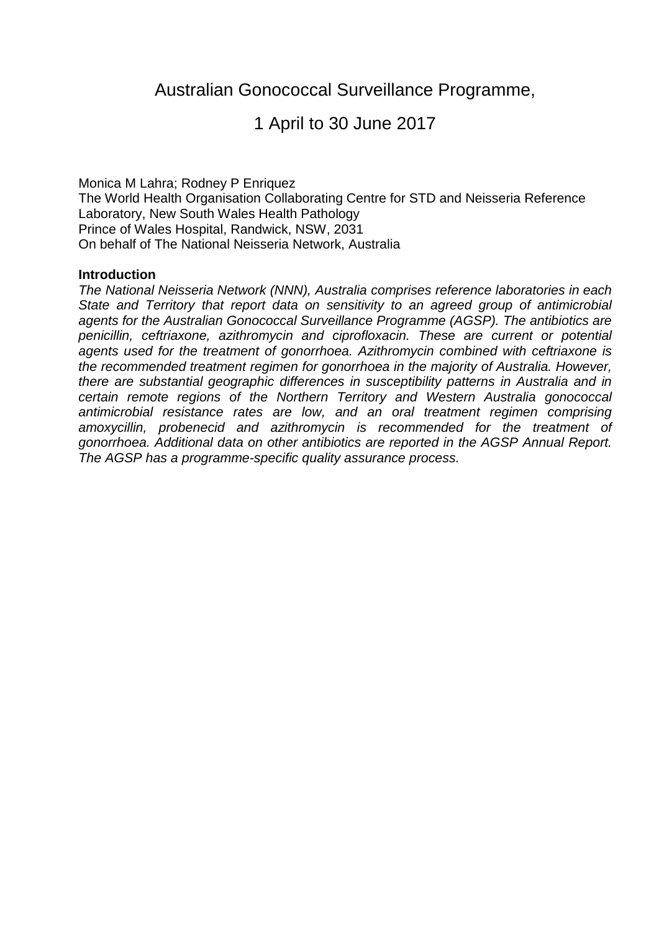# Australian Gonococcal Surveillance Programme,

# 1 April to 30 June 2017

Monica M Lahra; Rodney P Enriquez The World Health Organisation Collaborating Centre for STD and Neisseria Reference Laboratory, New South Wales Health Pathology Prince of Wales Hospital, Randwick, NSW, 2031 On behalf of The National Neisseria Network, Australia

#### **Introduction**

*The National Neisseria Network (NNN), Australia comprises reference laboratories in each State and Territory that report data on sensitivity to an agreed group of antimicrobial agents for the Australian Gonococcal Surveillance Programme (AGSP). The antibiotics are penicillin, ceftriaxone, azithromycin and ciprofloxacin. These are current or potential agents used for the treatment of gonorrhoea. Azithromycin combined with ceftriaxone is the recommended treatment regimen for gonorrhoea in the majority of Australia. However, there are substantial geographic differences in susceptibility patterns in Australia and in certain remote regions of the Northern Territory and Western Australia gonococcal antimicrobial resistance rates are low, and an oral treatment regimen comprising amoxycillin, probenecid and azithromycin is recommended for the treatment of gonorrhoea. Additional data on other antibiotics are reported in the AGSP Annual Report. The AGSP has a programme-specific quality assurance process.*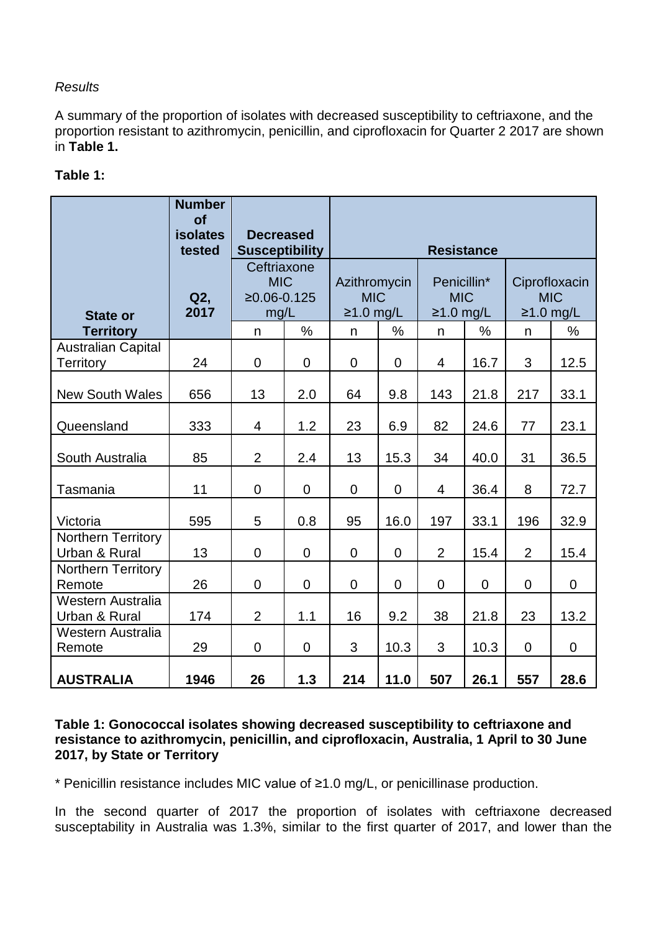## *Results*

A summary of the proportion of isolates with decreased susceptibility to ceftriaxone, and the proportion resistant to azithromycin, penicillin, and ciprofloxacin for Quarter 2 2017 are shown in **Table 1.**

## **Table 1:**

|                                               | <b>Number</b><br><b>of</b><br><b>isolates</b><br>tested | <b>Decreased</b><br><b>Susceptibility</b>          |                | <b>Resistance</b>                         |                |                                          |             |                                            |                |  |
|-----------------------------------------------|---------------------------------------------------------|----------------------------------------------------|----------------|-------------------------------------------|----------------|------------------------------------------|-------------|--------------------------------------------|----------------|--|
| <b>State or</b>                               | Q2,<br>2017                                             | Ceftriaxone<br><b>MIC</b><br>$≥0.06-0.125$<br>mg/L |                | Azithromycin<br><b>MIC</b><br>$≥1.0$ mg/L |                | Penicillin*<br><b>MIC</b><br>$≥1.0$ mg/L |             | Ciprofloxacin<br><b>MIC</b><br>$≥1.0$ mg/L |                |  |
| <b>Territory</b>                              |                                                         | n                                                  | $\frac{0}{0}$  | n                                         | $\%$           | n                                        | $\%$        | n                                          | $\%$           |  |
| <b>Australian Capital</b><br><b>Territory</b> | 24                                                      | $\mathbf 0$                                        | $\mathbf 0$    | $\mathbf 0$                               | $\mathbf 0$    | $\overline{4}$                           | 16.7        | 3                                          | 12.5           |  |
| <b>New South Wales</b>                        | 656                                                     | 13                                                 | 2.0            | 64                                        | 9.8            | 143                                      | 21.8        | 217                                        | 33.1           |  |
| Queensland                                    | 333                                                     | $\overline{4}$                                     | 1.2            | 23                                        | 6.9            | 82                                       | 24.6        | 77                                         | 23.1           |  |
| South Australia                               | 85                                                      | $\overline{2}$                                     | 2.4            | 13                                        | 15.3           | 34                                       | 40.0        | 31                                         | 36.5           |  |
| Tasmania                                      | 11                                                      | $\overline{0}$                                     | $\Omega$       | $\mathbf 0$                               | $\overline{0}$ | $\overline{4}$                           | 36.4        | 8                                          | 72.7           |  |
| Victoria                                      | 595                                                     | 5                                                  | 0.8            | 95                                        | 16.0           | 197                                      | 33.1        | 196                                        | 32.9           |  |
| <b>Northern Territory</b><br>Urban & Rural    | 13                                                      | $\mathbf 0$                                        | $\overline{0}$ | $\mathbf 0$                               | $\mathbf 0$    | $\overline{2}$                           | 15.4        | $\overline{2}$                             | 15.4           |  |
| <b>Northern Territory</b><br>Remote           | 26                                                      | $\mathbf 0$                                        | $\overline{0}$ | $\mathbf 0$                               | $\mathbf 0$    | $\mathbf 0$                              | $\mathbf 0$ | $\mathbf 0$                                | 0              |  |
| Western Australia<br>Urban & Rural            | 174                                                     | $\overline{2}$                                     | 1.1            | 16                                        | 9.2            | 38                                       | 21.8        | 23                                         | 13.2           |  |
| Western Australia<br>Remote                   | 29                                                      | $\overline{0}$                                     | $\Omega$       | 3                                         | 10.3           | 3                                        | 10.3        | $\Omega$                                   | $\overline{0}$ |  |
| <b>AUSTRALIA</b>                              | 1946                                                    | 26                                                 | 1.3            | 214                                       | 11.0           | 507                                      | 26.1        | 557                                        | 28.6           |  |

#### **Table 1: Gonococcal isolates showing decreased susceptibility to ceftriaxone and resistance to azithromycin, penicillin, and ciprofloxacin, Australia, 1 April to 30 June 2017, by State or Territory**

\* Penicillin resistance includes MIC value of ≥1.0 mg/L, or penicillinase production.

In the second quarter of 2017 the proportion of isolates with ceftriaxone decreased susceptability in Australia was 1.3%, similar to the first quarter of 2017, and lower than the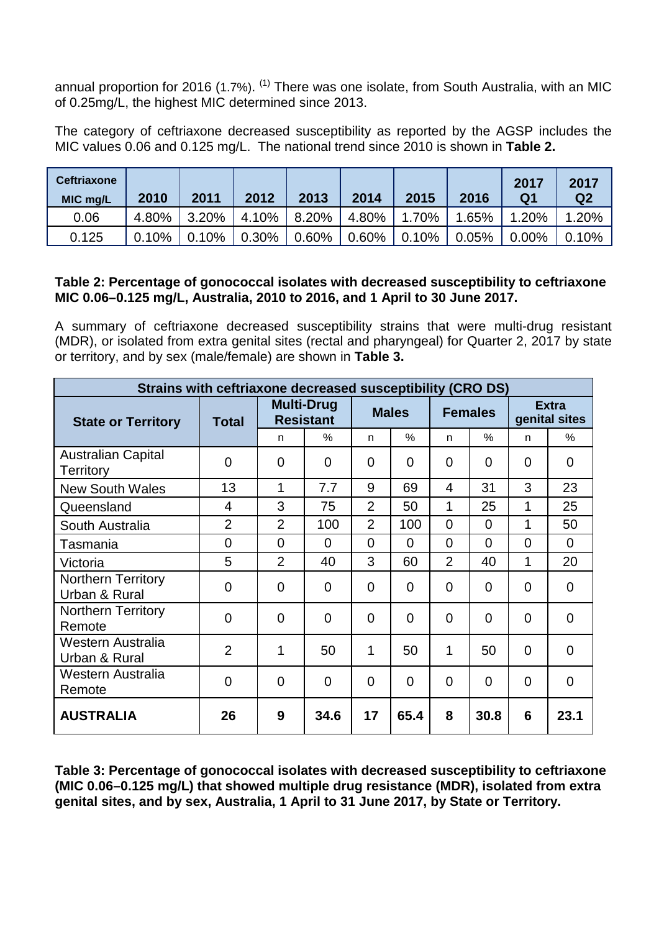annual proportion for 2016 (1.7%). <sup>[\(1\)](#page-3-0)</sup> There was one isolate, from South Australia, with an MIC of 0.25mg/L, the highest MIC determined since 2013.

The category of ceftriaxone decreased susceptibility as reported by the AGSP includes the MIC values 0.06 and 0.125 mg/L. The national trend since 2010 is shown in **Table 2.**

| <b>Ceftriaxone</b><br>MIC mg/L | 2010  | 2011     | 2012  | 2013  | 2014     | 2015     | 2016  | 2017<br>Q <sub>1</sub> | 2017<br>Q <sub>2</sub> |
|--------------------------------|-------|----------|-------|-------|----------|----------|-------|------------------------|------------------------|
| 0.06                           | 4.80% | 3.20%    | 4.10% | 8.20% | 4.80%    | 1.70%    | 1.65% | 1.20%                  | 1.20%                  |
| 0.125                          | 0.10% | $0.10\%$ | 0.30% | 0.60% | $0.60\%$ | $0.10\%$ | 0.05% | 0.00%                  | 0.10%                  |

### **Table 2: Percentage of gonococcal isolates with decreased susceptibility to ceftriaxone MIC 0.06–0.125 mg/L, Australia, 2010 to 2016, and 1 April to 30 June 2017.**

A summary of ceftriaxone decreased susceptibility strains that were multi-drug resistant (MDR), or isolated from extra genital sites (rectal and pharyngeal) for Quarter 2, 2017 by state or territory, and by sex (male/female) are shown in **Table 3.**

| Strains with ceftriaxone decreased susceptibility (CRO DS) |                |                                       |                |                |                |                |                |                               |                |  |
|------------------------------------------------------------|----------------|---------------------------------------|----------------|----------------|----------------|----------------|----------------|-------------------------------|----------------|--|
| <b>State or Territory</b>                                  | Total          | <b>Multi-Drug</b><br><b>Resistant</b> |                | <b>Males</b>   |                | <b>Females</b> |                | <b>Extra</b><br>genital sites |                |  |
|                                                            |                | n                                     | %              | n.             | $\%$           | n              | $\%$           | n.                            | $\%$           |  |
| <b>Australian Capital</b><br><b>Territory</b>              | 0              | $\mathbf 0$                           | $\Omega$       | 0              | $\overline{0}$ | $\overline{0}$ | $\overline{0}$ | 0                             | 0              |  |
| <b>New South Wales</b>                                     | 13             | 1                                     | 7.7            | 9              | 69             | $\overline{4}$ | 31             | 3                             | 23             |  |
| Queensland                                                 | 4              | 3                                     | 75             | $\overline{2}$ | 50             | 1              | 25             | 1                             | 25             |  |
| South Australia                                            | $\overline{2}$ | $\overline{2}$                        | 100            | $\overline{2}$ | 100            | $\Omega$       | $\Omega$       | 1                             | 50             |  |
| Tasmania                                                   | $\overline{0}$ | $\Omega$                              | $\Omega$       | $\Omega$       | $\overline{0}$ | $\Omega$       | 0              | $\overline{0}$                | $\Omega$       |  |
| Victoria                                                   | 5              | $\overline{2}$                        | 40             | 3              | 60             | $\overline{2}$ | 40             | 1                             | 20             |  |
| <b>Northern Territory</b><br>Urban & Rural                 | 0              | $\overline{0}$                        | $\Omega$       | $\Omega$       | $\overline{0}$ | $\Omega$       | $\overline{0}$ | $\overline{0}$                | 0              |  |
| <b>Northern Territory</b><br>Remote                        | $\overline{0}$ | $\Omega$                              | $\Omega$       | $\Omega$       | $\overline{0}$ | $\Omega$       | $\Omega$       | $\overline{0}$                | $\overline{0}$ |  |
| Western Australia<br>Urban & Rural                         | $\overline{2}$ | 1                                     | 50             | 1              | 50             | 1              | 50             | $\overline{0}$                | $\Omega$       |  |
| Western Australia<br>Remote                                | $\overline{0}$ | $\overline{0}$                        | $\overline{0}$ | $\Omega$       | $\overline{0}$ | 0              | $\overline{0}$ | $\overline{0}$                | 0              |  |
| <b>AUSTRALIA</b>                                           | 26             | 9                                     | 34.6           | 17             | 65.4           | 8              | 30.8           | 6                             | 23.1           |  |

**Table 3: Percentage of gonococcal isolates with decreased susceptibility to ceftriaxone (MIC 0.06–0.125 mg/L) that showed multiple drug resistance (MDR), isolated from extra genital sites, and by sex, Australia, 1 April to 31 June 2017, by State or Territory.**